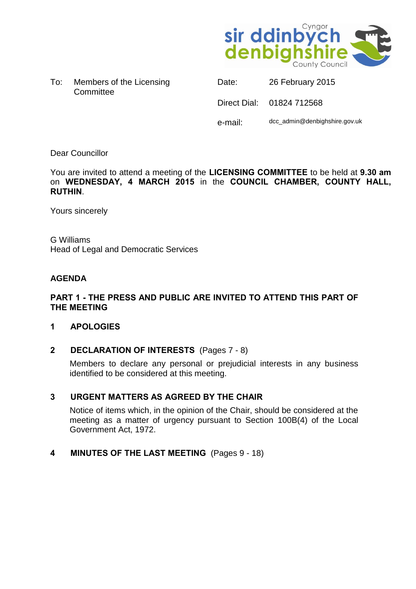

To: Members of the Licensing **Committee** 

Date: 26 February 2015 Direct Dial: 01824 712568 e-mail: dcc\_admin@denbighshire.gov.uk

Dear Councillor

You are invited to attend a meeting of the **LICENSING COMMITTEE** to be held at **9.30 am** on **WEDNESDAY, 4 MARCH 2015** in the **COUNCIL CHAMBER, COUNTY HALL, RUTHIN**.

Yours sincerely

G Williams Head of Legal and Democratic Services

# **AGENDA**

## **PART 1 - THE PRESS AND PUBLIC ARE INVITED TO ATTEND THIS PART OF THE MEETING**

## **1 APOLOGIES**

**2 DECLARATION OF INTERESTS** (Pages 7 - 8)

Members to declare any personal or prejudicial interests in any business identified to be considered at this meeting.

## **3 URGENT MATTERS AS AGREED BY THE CHAIR**

Notice of items which, in the opinion of the Chair, should be considered at the meeting as a matter of urgency pursuant to Section 100B(4) of the Local Government Act, 1972.

**4 MINUTES OF THE LAST MEETING** (Pages 9 - 18)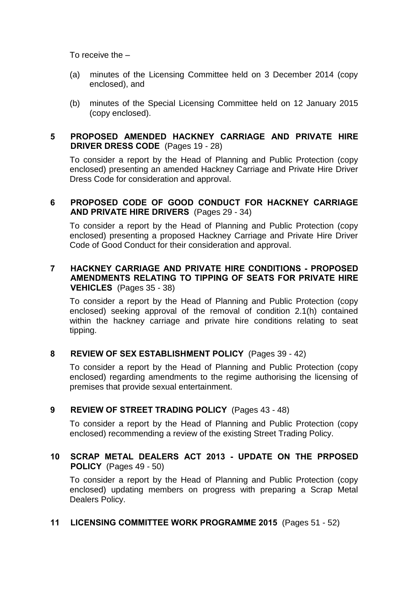To receive the –

- (a) minutes of the Licensing Committee held on 3 December 2014 (copy enclosed), and
- (b) minutes of the Special Licensing Committee held on 12 January 2015 (copy enclosed).

### **5 PROPOSED AMENDED HACKNEY CARRIAGE AND PRIVATE HIRE DRIVER DRESS CODE** (Pages 19 - 28)

To consider a report by the Head of Planning and Public Protection (copy enclosed) presenting an amended Hackney Carriage and Private Hire Driver Dress Code for consideration and approval.

## **6 PROPOSED CODE OF GOOD CONDUCT FOR HACKNEY CARRIAGE AND PRIVATE HIRE DRIVERS** (Pages 29 - 34)

To consider a report by the Head of Planning and Public Protection (copy enclosed) presenting a proposed Hackney Carriage and Private Hire Driver Code of Good Conduct for their consideration and approval.

# **7 HACKNEY CARRIAGE AND PRIVATE HIRE CONDITIONS - PROPOSED AMENDMENTS RELATING TO TIPPING OF SEATS FOR PRIVATE HIRE VEHICLES** (Pages 35 - 38)

To consider a report by the Head of Planning and Public Protection (copy enclosed) seeking approval of the removal of condition 2.1(h) contained within the hackney carriage and private hire conditions relating to seat tipping.

## **8 REVIEW OF SEX ESTABLISHMENT POLICY** (Pages 39 - 42)

To consider a report by the Head of Planning and Public Protection (copy enclosed) regarding amendments to the regime authorising the licensing of premises that provide sexual entertainment.

# **9 REVIEW OF STREET TRADING POLICY** (Pages 43 - 48)

To consider a report by the Head of Planning and Public Protection (copy enclosed) recommending a review of the existing Street Trading Policy.

# **10 SCRAP METAL DEALERS ACT 2013 - UPDATE ON THE PRPOSED POLICY** (Pages 49 - 50)

To consider a report by the Head of Planning and Public Protection (copy enclosed) updating members on progress with preparing a Scrap Metal Dealers Policy.

## **11 LICENSING COMMITTEE WORK PROGRAMME 2015** (Pages 51 - 52)